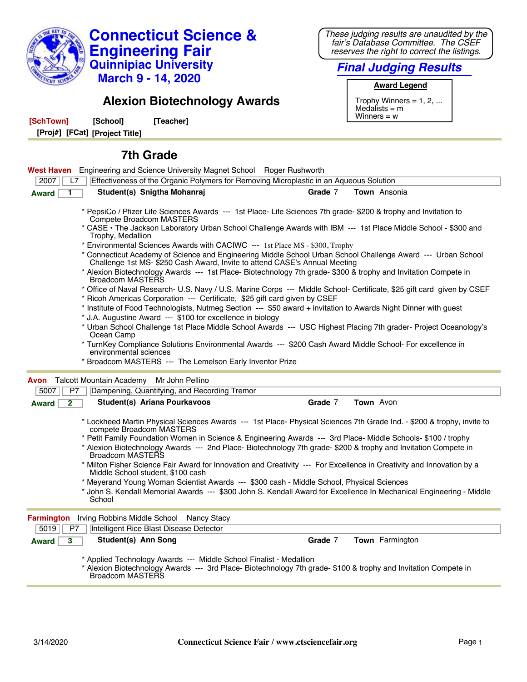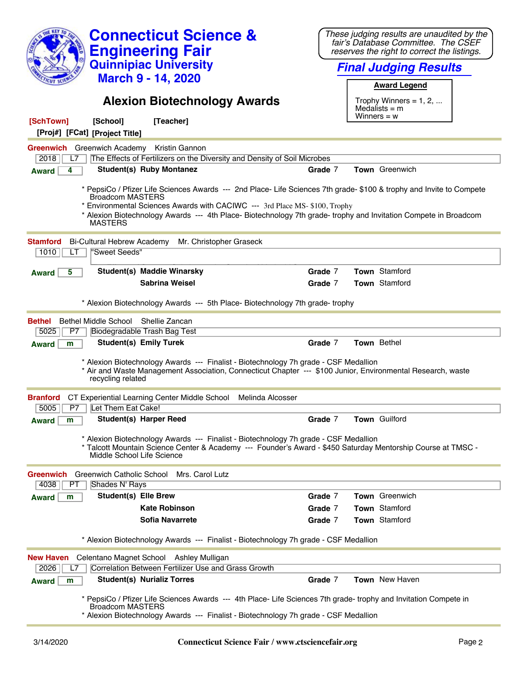| <b>Connecticut Science &amp;</b><br><b>Engineering Fair</b><br><b>Quinnipiac University</b><br><b>March 9 - 14, 2020</b><br><b>Alexion Biotechnology Awards</b> | These judging results are unaudited by the<br>fair's Database Committee. The CSEF<br>reserves the right to correct the listings.<br><b>Final Judging Results</b><br><b>Award Legend</b><br>Trophy Winners = $1, 2, $<br>Medalists $=$ m<br>Winners $= w$ |  |
|-----------------------------------------------------------------------------------------------------------------------------------------------------------------|----------------------------------------------------------------------------------------------------------------------------------------------------------------------------------------------------------------------------------------------------------|--|
| [SchTown]<br>[School]<br>[Teacher]<br>[Proj#] [FCat] [Project Title]                                                                                            |                                                                                                                                                                                                                                                          |  |
| <b>Greenwich</b> Greenwich Academy Kristin Gannon                                                                                                               |                                                                                                                                                                                                                                                          |  |
| 2018<br>The Effects of Fertilizers on the Diversity and Density of Soil Microbes<br>L7                                                                          |                                                                                                                                                                                                                                                          |  |
| Student(s) Ruby Montanez<br>4<br><b>Award</b>                                                                                                                   | Town Greenwich<br>Grade 7                                                                                                                                                                                                                                |  |
| <b>Broadcom MASTERS</b><br>* Environmental Sciences Awards with CACIWC --- 3rd Place MS-\$100, Trophy<br><b>MASTERS</b>                                         | * PepsiCo / Pfizer Life Sciences Awards --- 2nd Place- Life Sciences 7th grade- \$100 & trophy and Invite to Compete<br>* Alexion Biotechnology Awards --- 4th Place- Biotechnology 7th grade-trophy and Invitation Compete in Broadcom                  |  |
| <b>Stamford</b><br><b>Bi-Cultural Hebrew Academy</b><br>Mr. Christopher Graseck                                                                                 |                                                                                                                                                                                                                                                          |  |
| "Sweet Seeds"<br>1010<br>LТ                                                                                                                                     |                                                                                                                                                                                                                                                          |  |
| Student(s) Maddie Winarsky<br><b>Award</b><br>5                                                                                                                 | Town Stamford<br>Grade 7                                                                                                                                                                                                                                 |  |
| Sabrina Weisel                                                                                                                                                  | <b>Town</b> Stamford<br>Grade 7                                                                                                                                                                                                                          |  |
|                                                                                                                                                                 |                                                                                                                                                                                                                                                          |  |
| * Alexion Biotechnology Awards --- 5th Place- Biotechnology 7th grade-trophy                                                                                    |                                                                                                                                                                                                                                                          |  |
|                                                                                                                                                                 |                                                                                                                                                                                                                                                          |  |
| <b>Bethel Middle School</b><br>Shellie Zancan<br>Bethel<br>Biodegradable Trash Bag Test<br>5025<br>P7                                                           |                                                                                                                                                                                                                                                          |  |
| <b>Student(s) Emily Turek</b>                                                                                                                                   | Grade 7<br>Town Bethel                                                                                                                                                                                                                                   |  |
| m<br><b>Award</b>                                                                                                                                               |                                                                                                                                                                                                                                                          |  |
| * Alexion Biotechnology Awards --- Finalist - Biotechnology 7h grade - CSF Medallion<br>recycling related                                                       | * Air and Waste Management Association, Connecticut Chapter --- \$100 Junior, Environmental Research, waste                                                                                                                                              |  |
| CT Experiential Learning Center Middle School<br><b>Branford</b>                                                                                                | Melinda Alcosser                                                                                                                                                                                                                                         |  |
| Let Them Eat Cake!<br>P7<br>5005                                                                                                                                |                                                                                                                                                                                                                                                          |  |
| <b>Student(s) Harper Reed</b><br><b>Award</b><br>m                                                                                                              | <b>Town Guilford</b><br>Grade 7                                                                                                                                                                                                                          |  |
| * Alexion Biotechnology Awards --- Finalist - Biotechnology 7h grade - CSF Medallion<br>Middle School Life Science                                              | * Talcott Mountain Science Center & Academy --- Founder's Award - \$450 Saturday Mentorship Course at TMSC -                                                                                                                                             |  |
| Greenwich Catholic School Mrs. Carol Lutz<br><b>Greenwich</b>                                                                                                   |                                                                                                                                                                                                                                                          |  |
| 4038<br>Shades N' Rays<br>PТ                                                                                                                                    |                                                                                                                                                                                                                                                          |  |
| <b>Student(s) Elle Brew</b><br><b>Award</b><br>m                                                                                                                | Grade 7<br><b>Town</b> Greenwich                                                                                                                                                                                                                         |  |
| <b>Kate Robinson</b>                                                                                                                                            | <b>Town</b> Stamford<br>Grade 7                                                                                                                                                                                                                          |  |
| Sofia Navarrete                                                                                                                                                 | Town Stamford<br>Grade 7                                                                                                                                                                                                                                 |  |
| * Alexion Biotechnology Awards --- Finalist - Biotechnology 7h grade - CSF Medallion                                                                            |                                                                                                                                                                                                                                                          |  |
| <b>New Haven</b><br>Celentano Magnet School Ashley Mulligan                                                                                                     |                                                                                                                                                                                                                                                          |  |
| Correlation Between Fertilizer Use and Grass Growth<br>2026                                                                                                     |                                                                                                                                                                                                                                                          |  |
| <b>Student(s) Nurializ Torres</b><br>m<br><b>Award</b>                                                                                                          | Grade 7<br><b>Town</b> New Haven                                                                                                                                                                                                                         |  |
| <b>Broadcom MASTERS</b><br>* Alexion Biotechnology Awards --- Finalist - Biotechnology 7h grade - CSF Medallion                                                 | * PepsiCo / Pfizer Life Sciences Awards --- 4th Place- Life Sciences 7th grade- trophy and Invitation Compete in                                                                                                                                         |  |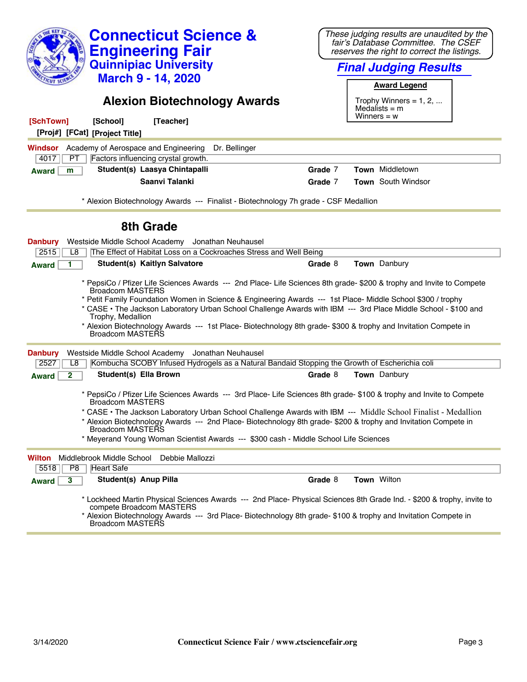| <b>Connecticut Science &amp;</b><br><b>Engineering Fair</b><br><b>Quinnipiac University</b>                                                                                                                                                                                                                                                                                                                                                                                                                                                  | These judging results are unaudited by the<br>fair's Database Committee. The CSEF<br>reserves the right to correct the listings.<br><b>Final Judging Results</b> |  |
|----------------------------------------------------------------------------------------------------------------------------------------------------------------------------------------------------------------------------------------------------------------------------------------------------------------------------------------------------------------------------------------------------------------------------------------------------------------------------------------------------------------------------------------------|------------------------------------------------------------------------------------------------------------------------------------------------------------------|--|
| <b>March 9 - 14, 2020</b>                                                                                                                                                                                                                                                                                                                                                                                                                                                                                                                    | <b>Award Legend</b>                                                                                                                                              |  |
| <b>Alexion Biotechnology Awards</b>                                                                                                                                                                                                                                                                                                                                                                                                                                                                                                          | Trophy Winners = $1, 2, $<br>Medalists $=$ m<br>Winners $= w$                                                                                                    |  |
| [SchTown]<br>[School]<br>[Teacher]<br>[Proj#] [FCat] [Project Title]                                                                                                                                                                                                                                                                                                                                                                                                                                                                         |                                                                                                                                                                  |  |
| <b>Windsor</b> Academy of Aerospace and Engineering<br>Dr. Bellinger                                                                                                                                                                                                                                                                                                                                                                                                                                                                         |                                                                                                                                                                  |  |
| 4017<br>PТ<br>Factors influencing crystal growth.                                                                                                                                                                                                                                                                                                                                                                                                                                                                                            |                                                                                                                                                                  |  |
| Student(s) Laasya Chintapalli<br>m<br><b>Award</b>                                                                                                                                                                                                                                                                                                                                                                                                                                                                                           | Grade 7<br>Town Middletown                                                                                                                                       |  |
| Saanvi Talanki                                                                                                                                                                                                                                                                                                                                                                                                                                                                                                                               | Town South Windsor<br>Grade 7                                                                                                                                    |  |
| * Alexion Biotechnology Awards --- Finalist - Biotechnology 7h grade - CSF Medallion                                                                                                                                                                                                                                                                                                                                                                                                                                                         |                                                                                                                                                                  |  |
| 8th Grade                                                                                                                                                                                                                                                                                                                                                                                                                                                                                                                                    |                                                                                                                                                                  |  |
| <b>Danbury</b><br>Westside Middle School Academy Jonathan Neuhausel                                                                                                                                                                                                                                                                                                                                                                                                                                                                          |                                                                                                                                                                  |  |
| 2515<br>The Effect of Habitat Loss on a Cockroaches Stress and Well Being<br>L8                                                                                                                                                                                                                                                                                                                                                                                                                                                              |                                                                                                                                                                  |  |
| Student(s) Kaitlyn Salvatore<br>1<br><b>Award</b>                                                                                                                                                                                                                                                                                                                                                                                                                                                                                            | Town Danbury<br>Grade 8                                                                                                                                          |  |
| * PepsiCo / Pfizer Life Sciences Awards --- 2nd Place- Life Sciences 8th grade- \$200 & trophy and Invite to Compete<br><b>Broadcom MASTERS</b><br>* Petit Family Foundation Women in Science & Engineering Awards --- 1st Place- Middle School \$300 / trophy<br>* CASE · The Jackson Laboratory Urban School Challenge Awards with IBM --- 3rd Place Middle School - \$100 and<br>Trophy, Medallion<br>* Alexion Biotechnology Awards --- 1st Place- Biotechnology 8th grade- \$300 & trophy and Invitation Compete in<br>Broadcom MASTERS |                                                                                                                                                                  |  |
| Westside Middle School Academy Jonathan Neuhausel<br><b>Danbury</b>                                                                                                                                                                                                                                                                                                                                                                                                                                                                          |                                                                                                                                                                  |  |
| 2527<br>Kombucha SCOBY Infused Hydrogels as a Natural Bandaid Stopping the Growth of Escherichia coli<br>L8                                                                                                                                                                                                                                                                                                                                                                                                                                  |                                                                                                                                                                  |  |
| Student(s) Ella Brown<br>$\mathbf{2}$<br><b>Award</b>                                                                                                                                                                                                                                                                                                                                                                                                                                                                                        | Grade 8<br>Town Danbury                                                                                                                                          |  |
| * PepsiCo / Pfizer Life Sciences Awards --- 3rd Place- Life Sciences 8th grade- \$100 & trophy and Invite to Compete<br><b>Broadcom MASTERS</b><br>* CASE · The Jackson Laboratory Urban School Challenge Awards with IBM --- Middle School Finalist - Medallion<br>* Alexion Biotechnology Awards --- 2nd Place- Biotechnology 8th grade- \$200 & trophy and Invitation Compete in<br>Broadcom MASTERS<br>* Meyerand Young Woman Scientist Awards --- \$300 cash - Middle School Life Sciences                                              |                                                                                                                                                                  |  |
|                                                                                                                                                                                                                                                                                                                                                                                                                                                                                                                                              |                                                                                                                                                                  |  |
| Middlebrook Middle School<br>Debbie Mallozzi<br>Wilton                                                                                                                                                                                                                                                                                                                                                                                                                                                                                       |                                                                                                                                                                  |  |
| <b>Heart Safe</b><br>P <sub>8</sub><br>5518<br><b>Student(s) Anup Pilla</b>                                                                                                                                                                                                                                                                                                                                                                                                                                                                  | Town Wilton                                                                                                                                                      |  |
| 3<br><b>Award</b>                                                                                                                                                                                                                                                                                                                                                                                                                                                                                                                            | Grade 8                                                                                                                                                          |  |
| * Lockheed Martin Physical Sciences Awards --- 2nd Place- Physical Sciences 8th Grade Ind. - \$200 & trophy, invite to<br>compete Broadcom MASTERS<br>* Alexion Biotechnology Awards --- 3rd Place- Biotechnology 8th grade- \$100 & trophy and Invitation Compete in<br>Broadcom MASTERS                                                                                                                                                                                                                                                    |                                                                                                                                                                  |  |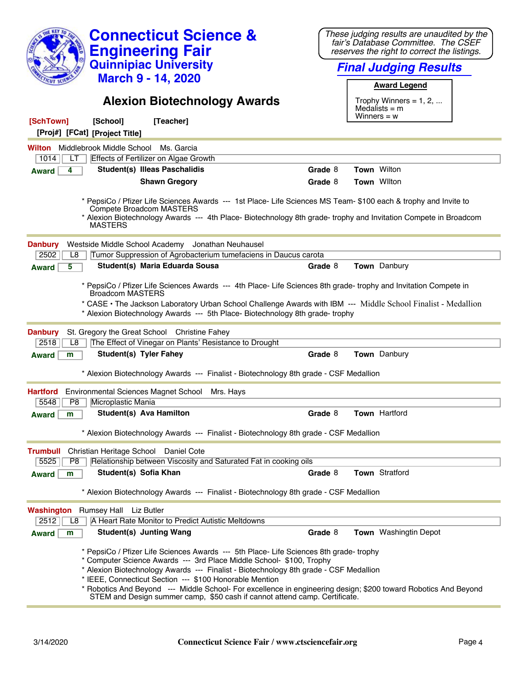| <b>Connecticut Science &amp;</b><br><b>Engineering Fair</b>                                                                                                                                                                                                                                                                                                                                                                                                                                                        | These judging results are unaudited by the<br>fair's Database Committee. The CSEF<br>reserves the right to correct the listings. |  |
|--------------------------------------------------------------------------------------------------------------------------------------------------------------------------------------------------------------------------------------------------------------------------------------------------------------------------------------------------------------------------------------------------------------------------------------------------------------------------------------------------------------------|----------------------------------------------------------------------------------------------------------------------------------|--|
| <b>Quinnipiac University</b>                                                                                                                                                                                                                                                                                                                                                                                                                                                                                       | <b>Final Judging Results</b>                                                                                                     |  |
| <b>March 9 - 14, 2020</b>                                                                                                                                                                                                                                                                                                                                                                                                                                                                                          | <b>Award Legend</b>                                                                                                              |  |
| <b>Alexion Biotechnology Awards</b>                                                                                                                                                                                                                                                                                                                                                                                                                                                                                | Trophy Winners = $1, 2, $<br>Medalists $=$ m<br>Winners = $w$                                                                    |  |
| [SchTown]<br>[School]<br>[Teacher]<br>[Proj#] [FCat] [Project Title]                                                                                                                                                                                                                                                                                                                                                                                                                                               |                                                                                                                                  |  |
| Wilton Middlebrook Middle School Ms. Garcia                                                                                                                                                                                                                                                                                                                                                                                                                                                                        |                                                                                                                                  |  |
| Effects of Fertilizer on Algae Growth<br>1014<br>LТ                                                                                                                                                                                                                                                                                                                                                                                                                                                                |                                                                                                                                  |  |
| Student(s) Illeas Paschalidis<br>4<br><b>Award</b>                                                                                                                                                                                                                                                                                                                                                                                                                                                                 | Town Wilton<br>Grade 8                                                                                                           |  |
| <b>Shawn Gregory</b>                                                                                                                                                                                                                                                                                                                                                                                                                                                                                               | Town Wilton<br>Grade 8                                                                                                           |  |
| * PepsiCo / Pfizer Life Sciences Awards --- 1st Place- Life Sciences MS Team- \$100 each & trophy and Invite to<br>Compete Broadcom MASTERS<br>* Alexion Biotechnology Awards --- 4th Place- Biotechnology 8th grade- trophy and Invitation Compete in Broadcom<br><b>MASTERS</b>                                                                                                                                                                                                                                  |                                                                                                                                  |  |
| Westside Middle School Academy Jonathan Neuhausel<br><b>Danbury</b>                                                                                                                                                                                                                                                                                                                                                                                                                                                |                                                                                                                                  |  |
| Tumor Suppression of Agrobacterium tumefaciens in Daucus carota<br>2502<br>L8                                                                                                                                                                                                                                                                                                                                                                                                                                      |                                                                                                                                  |  |
| Student(s) Maria Eduarda Sousa<br>5<br><b>Award</b>                                                                                                                                                                                                                                                                                                                                                                                                                                                                | Town Danbury<br>Grade 8                                                                                                          |  |
| * PepsiCo / Pfizer Life Sciences Awards --- 4th Place- Life Sciences 8th grade- trophy and Invitation Compete in<br><b>Broadcom MASTERS</b>                                                                                                                                                                                                                                                                                                                                                                        |                                                                                                                                  |  |
| * CASE • The Jackson Laboratory Urban School Challenge Awards with IBM --- Middle School Finalist - Medallion<br>* Alexion Biotechnology Awards --- 5th Place- Biotechnology 8th grade-trophy                                                                                                                                                                                                                                                                                                                      |                                                                                                                                  |  |
| St. Gregory the Great School Christine Fahey<br><b>Danbury</b><br>2518<br>The Effect of Vinegar on Plants' Resistance to Drought<br>L8                                                                                                                                                                                                                                                                                                                                                                             |                                                                                                                                  |  |
| <b>Student(s) Tyler Fahey</b><br><b>Award</b><br>m                                                                                                                                                                                                                                                                                                                                                                                                                                                                 | Town Danbury<br>Grade 8                                                                                                          |  |
| * Alexion Biotechnology Awards --- Finalist - Biotechnology 8th grade - CSF Medallion                                                                                                                                                                                                                                                                                                                                                                                                                              |                                                                                                                                  |  |
| Environmental Sciences Magnet School<br><b>Hartford</b><br>Mrs. Hays                                                                                                                                                                                                                                                                                                                                                                                                                                               |                                                                                                                                  |  |
| 5548<br>P8<br>Microplastic Mania                                                                                                                                                                                                                                                                                                                                                                                                                                                                                   |                                                                                                                                  |  |
| Student(s) Ava Hamilton<br>Award  <br>m                                                                                                                                                                                                                                                                                                                                                                                                                                                                            | Grade 8<br>Town Hartford                                                                                                         |  |
| * Alexion Biotechnology Awards --- Finalist - Biotechnology 8th grade - CSF Medallion                                                                                                                                                                                                                                                                                                                                                                                                                              |                                                                                                                                  |  |
| <b>Trumbull</b><br>Christian Heritage School Daniel Cote                                                                                                                                                                                                                                                                                                                                                                                                                                                           |                                                                                                                                  |  |
| 5525<br>Relationship between Viscosity and Saturated Fat in cooking oils<br>P <sub>8</sub>                                                                                                                                                                                                                                                                                                                                                                                                                         |                                                                                                                                  |  |
| Student(s) Sofia Khan<br><b>Award</b><br>m                                                                                                                                                                                                                                                                                                                                                                                                                                                                         | Town Stratford<br>Grade 8                                                                                                        |  |
| * Alexion Biotechnology Awards --- Finalist - Biotechnology 8th grade - CSF Medallion                                                                                                                                                                                                                                                                                                                                                                                                                              |                                                                                                                                  |  |
| Washington<br>Rumsey Hall Liz Butler                                                                                                                                                                                                                                                                                                                                                                                                                                                                               |                                                                                                                                  |  |
| A Heart Rate Monitor to Predict Autistic Meltdowns<br>2512<br>L8                                                                                                                                                                                                                                                                                                                                                                                                                                                   |                                                                                                                                  |  |
| <b>Student(s) Junting Wang</b><br><b>Award</b><br>m                                                                                                                                                                                                                                                                                                                                                                                                                                                                | Grade 8<br><b>Town</b> Washingtin Depot                                                                                          |  |
| * PepsiCo / Pfizer Life Sciences Awards --- 5th Place- Life Sciences 8th grade-trophy<br>* Computer Science Awards --- 3rd Place Middle School- \$100, Trophy<br>* Alexion Biotechnology Awards --- Finalist - Biotechnology 8th grade - CSF Medallion<br>* IEEE, Connecticut Section --- \$100 Honorable Mention<br>* Robotics And Beyond --- Middle School- For excellence in engineering design; \$200 toward Robotics And Beyond<br>STEM and Design summer camp, \$50 cash if cannot attend camp. Certificate. |                                                                                                                                  |  |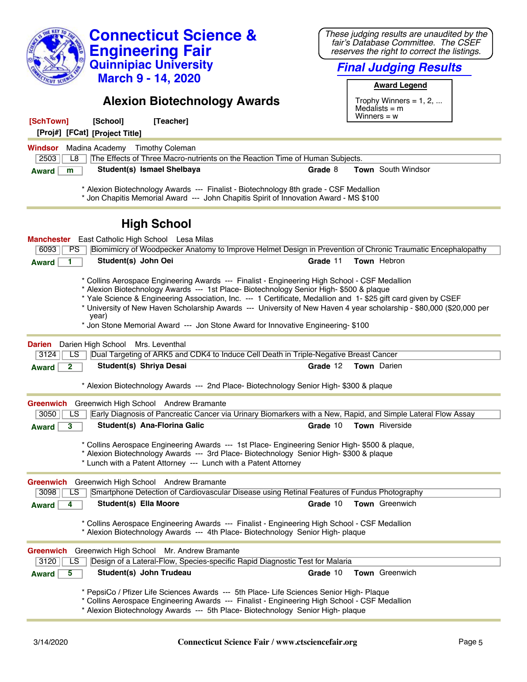| <b>Connecticut Science &amp;</b><br><b>Engineering Fair</b><br><b>Quinnipiac University</b><br><b>March 9 - 14, 2020</b><br><b>Alexion Biotechnology Awards</b><br>[SchTown]<br>[School]<br>[Teacher]<br>[Proj#] [FCat] [Project Title]                                                                                                                                                                                                                                                                                         | These judging results are unaudited by the<br>fair's Database Committee. The CSEF<br>reserves the right to correct the listings.<br><b>Final Judging Results</b><br><b>Award Legend</b><br>Trophy Winners = $1, 2, $<br>Medalists $=$ m<br>Winners $= w$ |  |  |  |
|---------------------------------------------------------------------------------------------------------------------------------------------------------------------------------------------------------------------------------------------------------------------------------------------------------------------------------------------------------------------------------------------------------------------------------------------------------------------------------------------------------------------------------|----------------------------------------------------------------------------------------------------------------------------------------------------------------------------------------------------------------------------------------------------------|--|--|--|
| Madina Academy Timothy Coleman<br>Windsor                                                                                                                                                                                                                                                                                                                                                                                                                                                                                       |                                                                                                                                                                                                                                                          |  |  |  |
| The Effects of Three Macro-nutrients on the Reaction Time of Human Subjects.<br>2503<br>L8<br>Student(s) Ismael Shelbaya<br><b>Award</b><br>m                                                                                                                                                                                                                                                                                                                                                                                   | <b>Town</b> South Windsor<br>Grade 8                                                                                                                                                                                                                     |  |  |  |
| * Alexion Biotechnology Awards --- Finalist - Biotechnology 8th grade - CSF Medallion<br>* Jon Chapitis Memorial Award --- John Chapitis Spirit of Innovation Award - MS \$100                                                                                                                                                                                                                                                                                                                                                  |                                                                                                                                                                                                                                                          |  |  |  |
| <b>High School</b>                                                                                                                                                                                                                                                                                                                                                                                                                                                                                                              |                                                                                                                                                                                                                                                          |  |  |  |
| Manchester East Catholic High School Lesa Milas                                                                                                                                                                                                                                                                                                                                                                                                                                                                                 |                                                                                                                                                                                                                                                          |  |  |  |
| Biomimicry of Woodpecker Anatomy to Improve Helmet Design in Prevention of Chronic Traumatic Encephalopathy<br>6093<br>PS<br>Student(s) John Oei<br>1<br><b>Award</b>                                                                                                                                                                                                                                                                                                                                                           | Town Hebron<br>Grade 11                                                                                                                                                                                                                                  |  |  |  |
| * Collins Aerospace Engineering Awards --- Finalist - Engineering High School - CSF Medallion<br>* Alexion Biotechnology Awards --- 1st Place- Biotechnology Senior High- \$500 & plaque<br>* Yale Science & Engineering Association, Inc. --- 1 Certificate, Medallion and 1-\$25 gift card given by CSEF<br>* University of New Haven Scholarship Awards --- University of New Haven 4 year scholarship - \$80,000 (\$20,000 per<br>year)<br>* Jon Stone Memorial Award --- Jon Stone Award for Innovative Engineering- \$100 |                                                                                                                                                                                                                                                          |  |  |  |
| Darien Darien High School Mrs. Leventhal                                                                                                                                                                                                                                                                                                                                                                                                                                                                                        |                                                                                                                                                                                                                                                          |  |  |  |
| Dual Targeting of ARK5 and CDK4 to Induce Cell Death in Triple-Negative Breast Cancer<br>3124<br>LS                                                                                                                                                                                                                                                                                                                                                                                                                             |                                                                                                                                                                                                                                                          |  |  |  |
| Student(s) Shriya Desai<br>2<br><b>Award</b>                                                                                                                                                                                                                                                                                                                                                                                                                                                                                    | Town Darien<br>Grade 12                                                                                                                                                                                                                                  |  |  |  |
| * Alexion Biotechnology Awards --- 2nd Place- Biotechnology Senior High- \$300 & plaque                                                                                                                                                                                                                                                                                                                                                                                                                                         |                                                                                                                                                                                                                                                          |  |  |  |
| Greenwich Greenwich High School Andrew Bramante                                                                                                                                                                                                                                                                                                                                                                                                                                                                                 |                                                                                                                                                                                                                                                          |  |  |  |
| 3050<br>LS<br>Early Diagnosis of Pancreatic Cancer via Urinary Biomarkers with a New, Rapid, and Simple Lateral Flow Assay                                                                                                                                                                                                                                                                                                                                                                                                      |                                                                                                                                                                                                                                                          |  |  |  |
| Student(s) Ana-Florina Galic<br>3<br><b>Award</b>                                                                                                                                                                                                                                                                                                                                                                                                                                                                               | <b>Town</b> Riverside<br>Grade 10                                                                                                                                                                                                                        |  |  |  |
| * Collins Aerospace Engineering Awards --- 1st Place- Engineering Senior High- \$500 & plaque,<br>* Alexion Biotechnology Awards --- 3rd Place- Biotechnology Senior High- \$300 & plaque<br>* Lunch with a Patent Attorney --- Lunch with a Patent Attorney                                                                                                                                                                                                                                                                    |                                                                                                                                                                                                                                                          |  |  |  |
| <b>Greenwich</b><br>Greenwich High School Andrew Bramante                                                                                                                                                                                                                                                                                                                                                                                                                                                                       |                                                                                                                                                                                                                                                          |  |  |  |
| Smartphone Detection of Cardiovascular Disease using Retinal Features of Fundus Photography<br>3098<br>LS                                                                                                                                                                                                                                                                                                                                                                                                                       |                                                                                                                                                                                                                                                          |  |  |  |
| Student(s) Ella Moore<br>4<br><b>Award</b>                                                                                                                                                                                                                                                                                                                                                                                                                                                                                      | Town Greenwich<br>Grade 10                                                                                                                                                                                                                               |  |  |  |
| * Collins Aerospace Engineering Awards --- Finalist - Engineering High School - CSF Medallion<br>* Alexion Biotechnology Awards --- 4th Place- Biotechnology Senior High- plaque                                                                                                                                                                                                                                                                                                                                                |                                                                                                                                                                                                                                                          |  |  |  |
| <b>Greenwich</b><br>Greenwich High School Mr. Andrew Bramante                                                                                                                                                                                                                                                                                                                                                                                                                                                                   |                                                                                                                                                                                                                                                          |  |  |  |
| Design of a Lateral-Flow, Species-specific Rapid Diagnostic Test for Malaria<br>3120<br>LS                                                                                                                                                                                                                                                                                                                                                                                                                                      |                                                                                                                                                                                                                                                          |  |  |  |
| Student(s) John Trudeau<br>5<br><b>Award</b>                                                                                                                                                                                                                                                                                                                                                                                                                                                                                    | Town Greenwich<br>Grade 10                                                                                                                                                                                                                               |  |  |  |
| * PepsiCo / Pfizer Life Sciences Awards --- 5th Place- Life Sciences Senior High- Plaque<br>* Collins Aerospace Engineering Awards --- Finalist - Engineering High School - CSF Medallion                                                                                                                                                                                                                                                                                                                                       |                                                                                                                                                                                                                                                          |  |  |  |

Alexion Biotechnology Awards --- 5th Place- Biotechnology Senior High- plaque